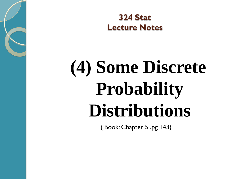**324 Stat Lecture Notes** 

# **(4) Some Discrete Probability Distributions**

( Book: Chapter 5 ,pg 143)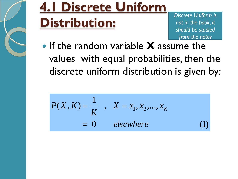

#### **4.1 Discrete Uniform Distribution:**

*Discrete Uniform is not in the book, it should be studied from the notes*

 If the random variable **X** assume the values with equal probabilities, then the discrete uniform distribution is given by:

$$
P(X, K) = \frac{1}{K} , X = x_1, x_2, ..., x_K
$$
  
= 0 elsewhere (1)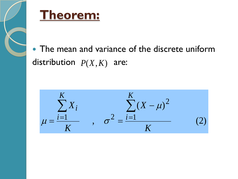



• The mean and variance of the discrete uniform distribution  $P(X, K)$  are:

,  $\sigma^2 = \frac{\sum_{i=1}^{K} (X - \mu)^2}{\sigma^2}$  $|K|$  $\sum_{i=1}^{n} X_i$  $(2)$  $K$  $K$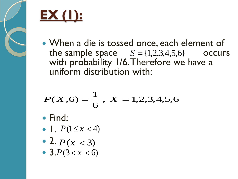

# **EX (1):**

• When a die is tossed once, each element of the sample space  $S = \{1,2,3,4,5,6\}$  occurs with probability 1/6. Therefore we have a uniform distribution with:

$$
P(X,6) = \frac{1}{6}, X = 1,2,3,4,5,6
$$

- Find:
- $\Box P(1 \le x < 4)$
- 2.  $P(x < 3)$
- $3.P(3 < x < 6)$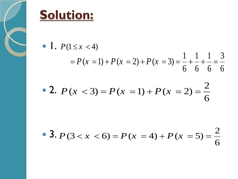

#### **Solution:**

•  $\blacksquare$ .  $P(1 \le x < 4)$  $P(1 \le x < 4)$ <br>=  $P(x = 1) + P(x = 2) + P(x = 3) = \frac{1}{6} + \frac{1}{6} + \frac{1}{6} = \frac{3}{6}$  $\frac{1}{6} + \frac{1}{6} + \frac{1}{6} = \frac{3}{6}$  $P(x = 1) + P(x = 2) + P(x = 3) = \frac{1}{6} + \frac{1}{6} + \frac{1}{6} = \frac{3}{6}$ 

• 2. 
$$
P(x < 3) = P(x = 1) + P(x = 2) = \frac{2}{6}
$$

 3. 2  $(3 < x < 6) = P(x = 4) + P(x = 5)$ 6  $P(3 < x < 6) = P(x = 4) + P(x = 5) = \frac{2}{6}$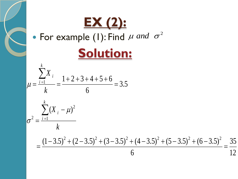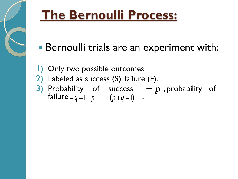

### **The Bernoulli Process:**

- Bernoulli trials are an experiment with:
- 1) Only two possible outcomes.
- 2) Labeled as success (S), failure (F).
- 3) Probability of success  $p$ , probability of  $f \text{a}$  and  $f = q = 1 - p$  (  $p + q = 1$ ) .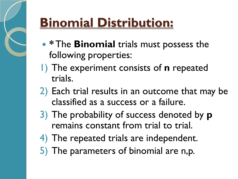

## **Binomial Distribution:**

- **\* The Binomial** trials must possess the following properties:
- 1) The experiment consists of **n** repeated trials.
- 2) Each trial results in an outcome that may be classified as a success or a failure.
- 3) The probability of success denoted by **p** remains constant from trial to trial.
- 4) The repeated trials are independent.
- 5) The parameters of binomial are n,p.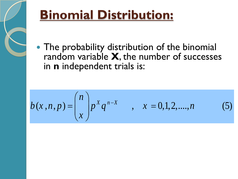

### **Binomial Distribution:**

• The probability distribution of the binomial random variable X, the number of successes in n independent trials is:

$$
b(x, n, p) = {n \choose x} p^x q^{n-x} \qquad , \quad x = 0, 1, 2, ..., n \tag{5}
$$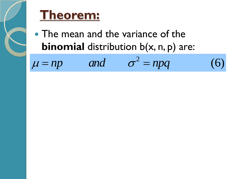

#### **Theorem:**

• The mean and the variance of the **binomial** distribution b(x, n, p) are:

and  $\sigma^2 = npq$ **binomial** distribution b(x, n, p) are:<br> $\mu = np$  and  $\sigma^2 = npq$  (6)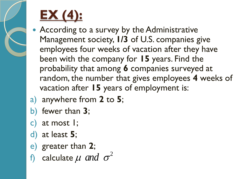

# **EX (4):**

- According to a survey by the Administrative Management society, **1/3** of U.S. companies give employees four weeks of vacation after they have been with the company for **15** years. Find the probability that among **6** companies surveyed at random, the number that gives employees **4** weeks of vacation after **15** years of employment is:
- a) anywhere from **2** to **5**;
- b) fewer than **3**;
- c) at most 1;
- d) at least **5**;
- e) greater than **2**;
- f) calculate  $\mu$  and  $\sigma^2$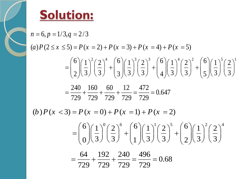

**Solution:**  
\n
$$
n = 6, p = 1/3, q = 2/3
$$
\n
$$
(a) P(2 \le x \le 5) = P(x = 2) + P(x = 3) + P(x = 4) + P(x = 5)
$$
\n
$$
= \binom{6}{2} \left(\frac{1}{3}\right)^2 \left(\frac{2}{3}\right)^4 + \binom{6}{3} \left(\frac{1}{3}\right)^3 \left(\frac{2}{3}\right)^3 + \binom{6}{4} \left(\frac{1}{3}\right)^4 \left(\frac{2}{3}\right)^2 + \binom{6}{5} \left(\frac{1}{3}\right)^5 \left(\frac{2}{3}\right)^1
$$
\n
$$
= \frac{240}{729} + \frac{160}{729} + \frac{60}{729} + \frac{12}{729} = \frac{472}{729} = 0.647
$$
\n
$$
(b) P(x < 3) = P(x = 0) + P(x = 1) + P(x = 2)
$$
\n
$$
= \binom{6}{0} \left(\frac{1}{3}\right)^0 \left(\frac{2}{3}\right)^6 + \binom{6}{1} \left(\frac{1}{3}\right)^1 \left(\frac{2}{3}\right)^5 + \binom{6}{2} \left(\frac{1}{3}\right)^2 \left(\frac{2}{3}\right)^4
$$
\n
$$
= \frac{64}{729} + \frac{192}{729} + \frac{240}{729} = \frac{496}{729} = 0.68
$$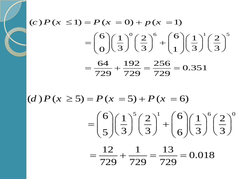$$
(c) P (x \le 1) = P (x = 0) + p (x = 1)
$$
  
=  $\binom{6}{0} \left(\frac{1}{3}\right)^0 \left(\frac{2}{3}\right)^6 + \binom{6}{1} \left(\frac{1}{3}\right)^1 \left(\frac{2}{3}\right)^5$   
=  $\frac{64}{729} + \frac{192}{729} = \frac{256}{729} = 0.351$ 

(*d*)  $P(x \ge 5) = P(x = 5) + P(x = 6)$ 

 $f(x - 0)$ <br> $(2)^1$   $(6)(1)^6(2)^0$  $f'(x = 5) + P(x = 6)$ <br>6  $\left( \frac{1}{2} \right)^5 \left( \frac{2}{2} \right)^1 + \left( \frac{6}{2} \right) \left( \frac{1}{2} \right)^6 \left( \frac{2}{2} \right)$ 6  $\left(\frac{1}{3}\right)^5 \left(\frac{2}{3}\right)^1 + \left(\frac{6}{6}\right) \left(\frac{1}{3}\right)^6 \left(\frac{2}{3}\right)$  $\frac{12}{12} + \frac{1}{720} = \frac{13}{720} = 0.018$  $P(x = 5) + P(x = 6)$ <br> $\binom{6}{1} \left(\frac{1}{2}\right)^5 \left(\frac{2}{2}\right)^1 + \binom{6}{1} \left(\frac{1}{2}\right)^6 \left(\frac{2}{2}\right)^0$ =  $P(x = 5) + P(x = 6)$ <br>=  $\binom{6}{5} \left(\frac{1}{3}\right)^5 \left(\frac{2}{3}\right)^1 + \binom{6}{6} \left(\frac{1}{3}\right)^6 \left(\frac{2}{3}\right)^0$ 

 $\frac{12}{729} + \frac{1}{729} = \frac{13}{729}$  $(5)(3)(3)(6)(3)$ <br>=  $\frac{12}{729} + \frac{1}{729} = \frac{13}{729} = 0.018$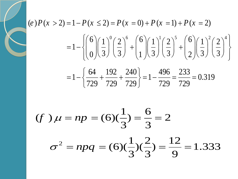$$
(e)P(x > 2) = 1 - P(x \le 2) = P(x = 0) + P(x = 1) + P(x = 2)
$$
  
=  $1 - \left\{ \left( \frac{6}{0} \right) \left( \frac{1}{3} \right)^{0} \left( \frac{2}{3} \right)^{6} + \left( \frac{6}{1} \right) \left( \frac{1}{3} \right)^{1} \left( \frac{2}{3} \right)^{5} + \left( \frac{6}{2} \right) \left( \frac{1}{3} \right)^{2} \left( \frac{2}{3} \right)^{4} \right\}$   
=  $1 - \left\{ \frac{64}{729} + \frac{192}{729} + \frac{240}{729} \right\} = 1 - \frac{496}{729} = \frac{233}{729} = 0.319$ 

$$
(f) \mu = np = (6)(\frac{1}{3}) = \frac{6}{3} = 2
$$

$$
\sigma^2 = npq = (6)(\frac{1}{3})(\frac{2}{3}) = \frac{12}{9} = 1.333
$$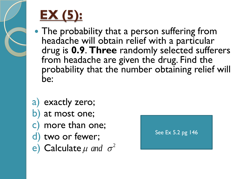

# **EX (5):**

- The probability that a person suffering from headache will obtain relief with a particular drug is **0.9**. **Three** randomly selected sufferers from headache are given the drug. Find the probability that the number obtaining relief will be:
- a) exactly zero; b) at most one; c) more than one; d) two or fewer; e) Calculate  $\mu$  and  $\sigma^2$

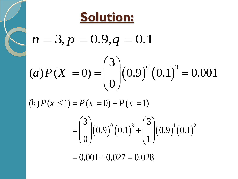

$$
n = 3, p = 0.9, q = 0.1
$$

$$
(a) P(X = 0) = {3 \choose 0} (0.9)^0 (0.1)^3 = 0.001
$$

(*b*)  $P(x \le 1) = P(x = 0) + P(x = 1)$ *b*  $P(x \le 1) = P(x = 0) + P(x = 1)$ 

$$
= P(x = 0) + P(x = 1)
$$
  
=  $\binom{3}{0} (0.9)^0 (0.1)^3 + \binom{3}{1} (0.9)^1 (0.1)^2$   
= 0.001 + 0.027 = 0.028